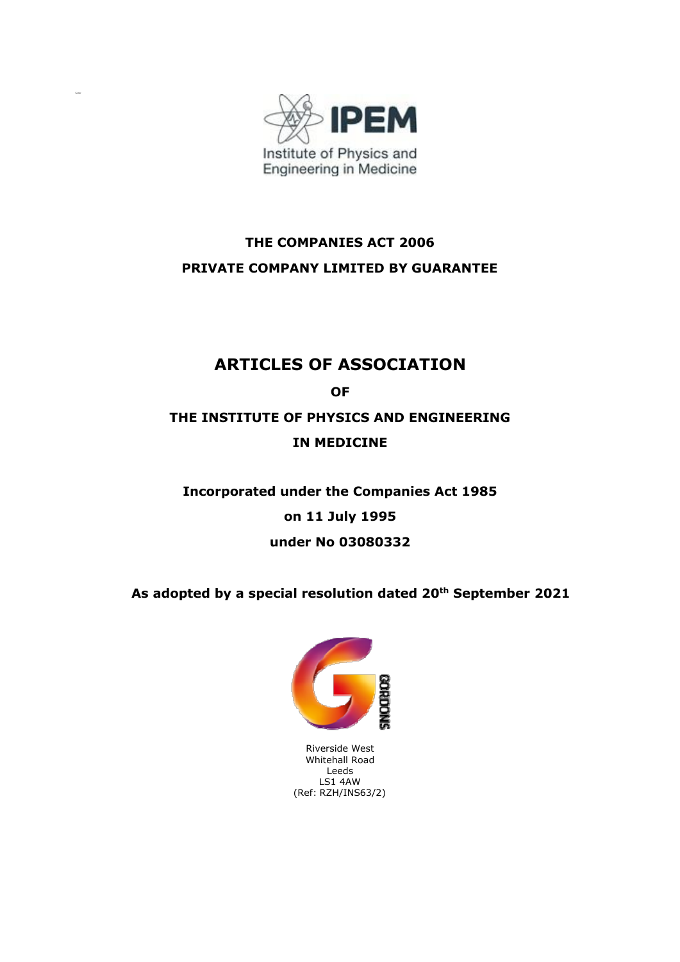

# **THE COMPANIES ACT 2006 PRIVATE COMPANY LIMITED BY GUARANTEE**

# **ARTICLES OF ASSOCIATION**

**OF**

# **THE INSTITUTE OF PHYSICS AND ENGINEERING IN MEDICINE**

# **Incorporated under the Companies Act 1985 on 11 July 1995 under No 03080332**

**As adopted by a special resolution dated 20 th September 2021**



Riverside West Whitehall Road Leeds LS1 4AW (Ref: RZH/INS63/2)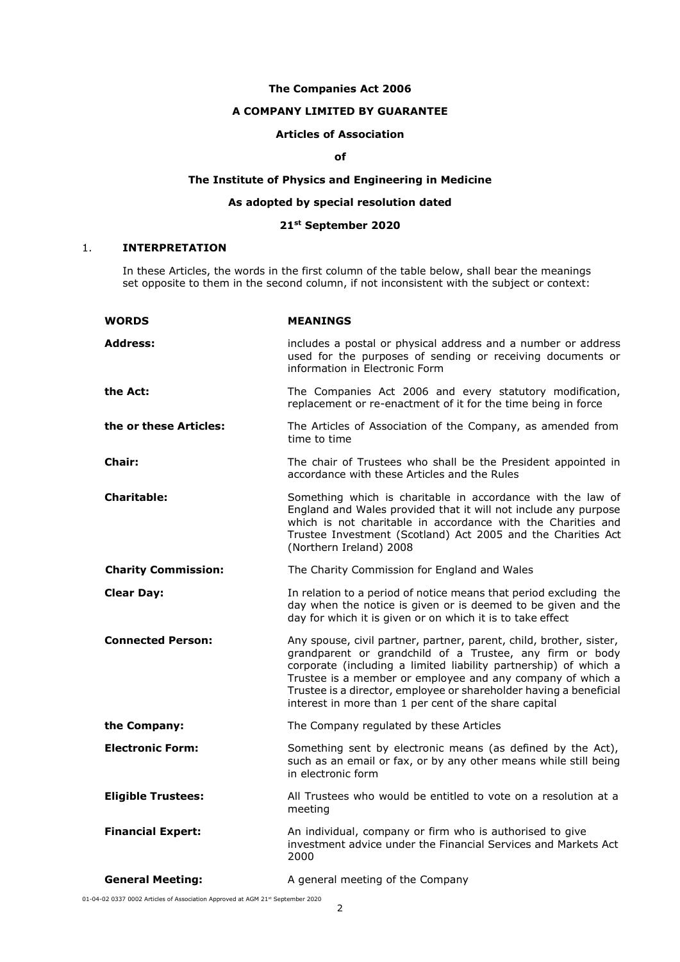## **The Companies Act 2006**

# **A COMPANY LIMITED BY GUARANTEE**

# **Articles of Association**

# **of**

## **The Institute of Physics and Engineering in Medicine**

# **As adopted by special resolution dated**

## **21st September 2020**

# 1. **INTERPRETATION**

In these Articles, the words in the first column of the table below, shall bear the meanings set opposite to them in the second column, if not inconsistent with the subject or context:

| <b>WORDS</b>               | <b>MEANINGS</b>                                                                                                                                                                                                                                                                                                                                                                                  |
|----------------------------|--------------------------------------------------------------------------------------------------------------------------------------------------------------------------------------------------------------------------------------------------------------------------------------------------------------------------------------------------------------------------------------------------|
| <b>Address:</b>            | includes a postal or physical address and a number or address<br>used for the purposes of sending or receiving documents or<br>information in Electronic Form                                                                                                                                                                                                                                    |
| the Act:                   | The Companies Act 2006 and every statutory modification,<br>replacement or re-enactment of it for the time being in force                                                                                                                                                                                                                                                                        |
| the or these Articles:     | The Articles of Association of the Company, as amended from<br>time to time                                                                                                                                                                                                                                                                                                                      |
| <b>Chair:</b>              | The chair of Trustees who shall be the President appointed in<br>accordance with these Articles and the Rules                                                                                                                                                                                                                                                                                    |
| <b>Charitable:</b>         | Something which is charitable in accordance with the law of<br>England and Wales provided that it will not include any purpose<br>which is not charitable in accordance with the Charities and<br>Trustee Investment (Scotland) Act 2005 and the Charities Act<br>(Northern Ireland) 2008                                                                                                        |
| <b>Charity Commission:</b> | The Charity Commission for England and Wales                                                                                                                                                                                                                                                                                                                                                     |
| <b>Clear Day:</b>          | In relation to a period of notice means that period excluding the<br>day when the notice is given or is deemed to be given and the<br>day for which it is given or on which it is to take effect                                                                                                                                                                                                 |
| <b>Connected Person:</b>   | Any spouse, civil partner, partner, parent, child, brother, sister,<br>grandparent or grandchild of a Trustee, any firm or body<br>corporate (including a limited liability partnership) of which a<br>Trustee is a member or employee and any company of which a<br>Trustee is a director, employee or shareholder having a beneficial<br>interest in more than 1 per cent of the share capital |
| the Company:               | The Company regulated by these Articles                                                                                                                                                                                                                                                                                                                                                          |
| <b>Electronic Form:</b>    | Something sent by electronic means (as defined by the Act),<br>such as an email or fax, or by any other means while still being<br>in electronic form                                                                                                                                                                                                                                            |
| <b>Eligible Trustees:</b>  | All Trustees who would be entitled to vote on a resolution at a<br>meeting                                                                                                                                                                                                                                                                                                                       |
| <b>Financial Expert:</b>   | An individual, company or firm who is authorised to give<br>investment advice under the Financial Services and Markets Act<br>2000                                                                                                                                                                                                                                                               |
| <b>General Meeting:</b>    | A general meeting of the Company                                                                                                                                                                                                                                                                                                                                                                 |

01-04-02 0337 0002 Articles of Association Approved at AGM 21st September 2020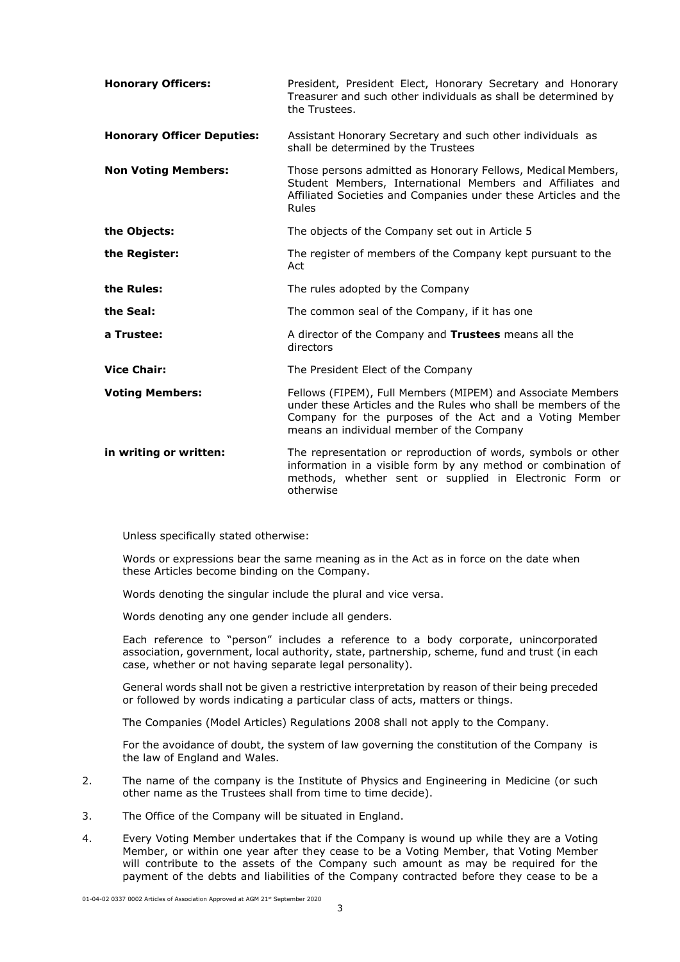| <b>Honorary Officers:</b>         | President, President Elect, Honorary Secretary and Honorary<br>Treasurer and such other individuals as shall be determined by<br>the Trustees.                                                                                        |
|-----------------------------------|---------------------------------------------------------------------------------------------------------------------------------------------------------------------------------------------------------------------------------------|
| <b>Honorary Officer Deputies:</b> | Assistant Honorary Secretary and such other individuals as<br>shall be determined by the Trustees                                                                                                                                     |
| <b>Non Voting Members:</b>        | Those persons admitted as Honorary Fellows, Medical Members,<br>Student Members, International Members and Affiliates and<br>Affiliated Societies and Companies under these Articles and the<br>Rules                                 |
| the Objects:                      | The objects of the Company set out in Article 5                                                                                                                                                                                       |
| the Register:                     | The register of members of the Company kept pursuant to the<br>Act                                                                                                                                                                    |
| the Rules:                        | The rules adopted by the Company                                                                                                                                                                                                      |
| the Seal:                         | The common seal of the Company, if it has one                                                                                                                                                                                         |
| a Trustee:                        | A director of the Company and Trustees means all the<br>directors                                                                                                                                                                     |
| <b>Vice Chair:</b>                | The President Elect of the Company                                                                                                                                                                                                    |
| <b>Voting Members:</b>            | Fellows (FIPEM), Full Members (MIPEM) and Associate Members<br>under these Articles and the Rules who shall be members of the<br>Company for the purposes of the Act and a Voting Member<br>means an individual member of the Company |
| in writing or written:            | The representation or reproduction of words, symbols or other<br>information in a visible form by any method or combination of<br>methods, whether sent or supplied in Electronic Form or<br>otherwise                                |

Unless specifically stated otherwise:

Words or expressions bear the same meaning as in the Act as in force on the date when these Articles become binding on the Company.

Words denoting the singular include the plural and vice versa.

Words denoting any one gender include all genders.

Each reference to "person" includes a reference to a body corporate, unincorporated association, government, local authority, state, partnership, scheme, fund and trust (in each case, whether or not having separate legal personality).

General words shall not be given a restrictive interpretation by reason of their being preceded or followed by words indicating a particular class of acts, matters or things.

The Companies (Model Articles) Regulations 2008 shall not apply to the Company.

For the avoidance of doubt, the system of law governing the constitution of the Company is the law of England and Wales.

- 2. The name of the company is the Institute of Physics and Engineering in Medicine (or such other name as the Trustees shall from time to time decide).
- 3. The Office of the Company will be situated in England.
- 4. Every Voting Member undertakes that if the Company is wound up while they are a Voting Member, or within one year after they cease to be a Voting Member, that Voting Member will contribute to the assets of the Company such amount as may be required for the payment of the debts and liabilities of the Company contracted before they cease to be a

01-04-02 0337 0002 Articles of Association Approved at AGM 21st September 2020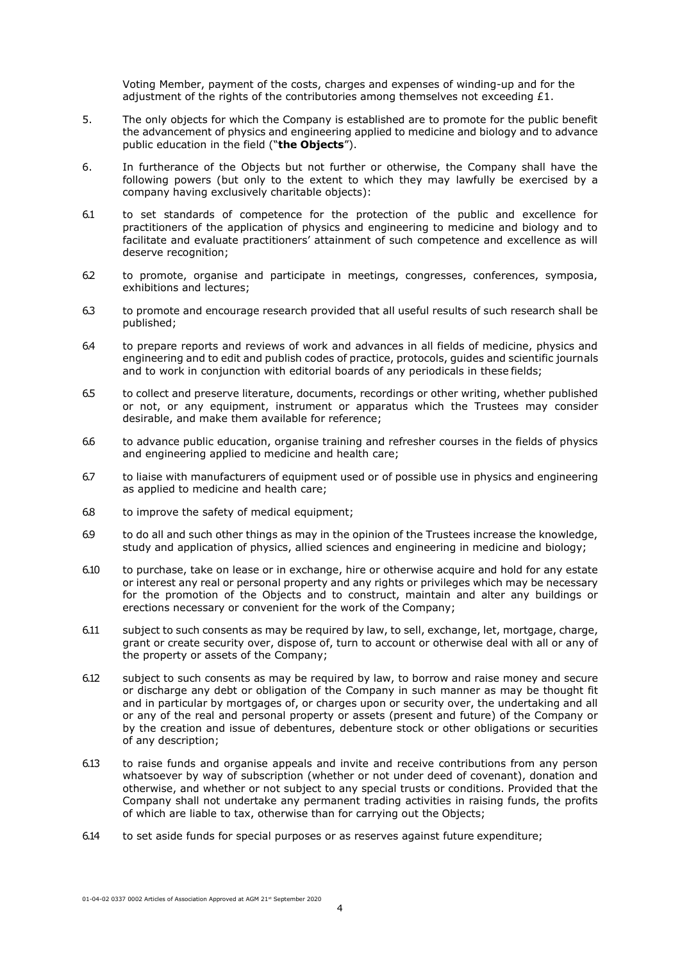Voting Member, payment of the costs, charges and expenses of winding-up and for the adjustment of the rights of the contributories among themselves not exceeding  $£1$ .

- 5. The only objects for which the Company is established are to promote for the public benefit the advancement of physics and engineering applied to medicine and biology and to advance public education in the field ("**the Objects**").
- 6. In furtherance of the Objects but not further or otherwise, the Company shall have the following powers (but only to the extent to which they may lawfully be exercised by a company having exclusively charitable objects):
- 6.1 to set standards of competence for the protection of the public and excellence for practitioners of the application of physics and engineering to medicine and biology and to facilitate and evaluate practitioners' attainment of such competence and excellence as will deserve recognition;
- 6.2 to promote, organise and participate in meetings, congresses, conferences, symposia, exhibitions and lectures;
- 6.3 to promote and encourage research provided that all useful results of such research shall be published;
- 6.4 to prepare reports and reviews of work and advances in all fields of medicine, physics and engineering and to edit and publish codes of practice, protocols, guides and scientific journals and to work in conjunction with editorial boards of any periodicals in these fields;
- 6.5 to collect and preserve literature, documents, recordings or other writing, whether published or not, or any equipment, instrument or apparatus which the Trustees may consider desirable, and make them available for reference;
- 6.6 to advance public education, organise training and refresher courses in the fields of physics and engineering applied to medicine and health care;
- 6.7 to liaise with manufacturers of equipment used or of possible use in physics and engineering as applied to medicine and health care;
- 6.8 to improve the safety of medical equipment;
- 6.9 to do all and such other things as may in the opinion of the Trustees increase the knowledge, study and application of physics, allied sciences and engineering in medicine and biology;
- 6.10 to purchase, take on lease or in exchange, hire or otherwise acquire and hold for any estate or interest any real or personal property and any rights or privileges which may be necessary for the promotion of the Objects and to construct, maintain and alter any buildings or erections necessary or convenient for the work of the Company;
- 6.11 subject to such consents as may be required by law, to sell, exchange, let, mortgage, charge, grant or create security over, dispose of, turn to account or otherwise deal with all or any of the property or assets of the Company;
- 6.12 subject to such consents as may be required by law, to borrow and raise money and secure or discharge any debt or obligation of the Company in such manner as may be thought fit and in particular by mortgages of, or charges upon or security over, the undertaking and all or any of the real and personal property or assets (present and future) of the Company or by the creation and issue of debentures, debenture stock or other obligations or securities of any description;
- 6.13 to raise funds and organise appeals and invite and receive contributions from any person whatsoever by way of subscription (whether or not under deed of covenant), donation and otherwise, and whether or not subject to any special trusts or conditions. Provided that the Company shall not undertake any permanent trading activities in raising funds, the profits of which are liable to tax, otherwise than for carrying out the Objects;
- 6.14 to set aside funds for special purposes or as reserves against future expenditure;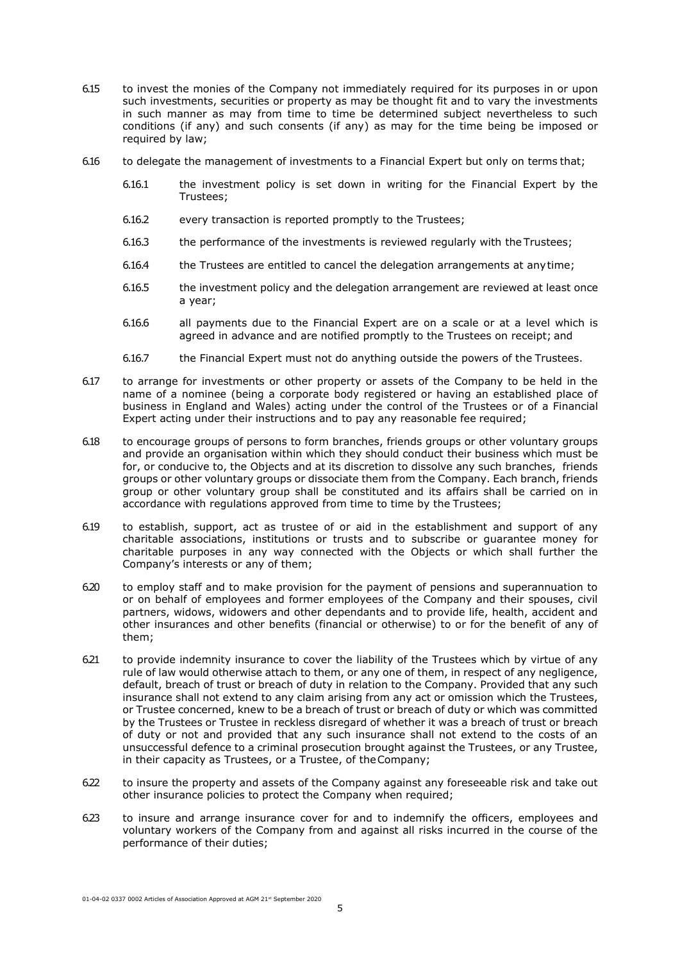- 6.15 to invest the monies of the Company not immediately required for its purposes in or upon such investments, securities or property as may be thought fit and to vary the investments in such manner as may from time to time be determined subject nevertheless to such conditions (if any) and such consents (if any) as may for the time being be imposed or required by law;
- 6.16 to delegate the management of investments to a Financial Expert but only on terms that;
	- 6.16.1 the investment policy is set down in writing for the Financial Expert by the Trustees;
	- 6.16.2 every transaction is reported promptly to the Trustees;
	- 6.16.3 the performance of the investments is reviewed regularly with the Trustees;
	- 6.16.4 the Trustees are entitled to cancel the delegation arrangements at anytime;
	- 6.16.5 the investment policy and the delegation arrangement are reviewed at least once a year;
	- 6.16.6 all payments due to the Financial Expert are on a scale or at a level which is agreed in advance and are notified promptly to the Trustees on receipt; and
	- 6.16.7 the Financial Expert must not do anything outside the powers of the Trustees.
- 6.17 to arrange for investments or other property or assets of the Company to be held in the name of a nominee (being a corporate body registered or having an established place of business in England and Wales) acting under the control of the Trustees or of a Financial Expert acting under their instructions and to pay any reasonable fee required;
- 6.18 to encourage groups of persons to form branches, friends groups or other voluntary groups and provide an organisation within which they should conduct their business which must be for, or conducive to, the Objects and at its discretion to dissolve any such branches, friends groups or other voluntary groups or dissociate them from the Company. Each branch, friends group or other voluntary group shall be constituted and its affairs shall be carried on in accordance with regulations approved from time to time by the Trustees;
- 6.19 to establish, support, act as trustee of or aid in the establishment and support of any charitable associations, institutions or trusts and to subscribe or guarantee money for charitable purposes in any way connected with the Objects or which shall further the Company's interests or any of them;
- 6.20 to employ staff and to make provision for the payment of pensions and superannuation to or on behalf of employees and former employees of the Company and their spouses, civil partners, widows, widowers and other dependants and to provide life, health, accident and other insurances and other benefits (financial or otherwise) to or for the benefit of any of them;
- 6.21 to provide indemnity insurance to cover the liability of the Trustees which by virtue of any rule of law would otherwise attach to them, or any one of them, in respect of any negligence, default, breach of trust or breach of duty in relation to the Company. Provided that any such insurance shall not extend to any claim arising from any act or omission which the Trustees, or Trustee concerned, knew to be a breach of trust or breach of duty or which was committed by the Trustees or Trustee in reckless disregard of whether it was a breach of trust or breach of duty or not and provided that any such insurance shall not extend to the costs of an unsuccessful defence to a criminal prosecution brought against the Trustees, or any Trustee, in their capacity as Trustees, or a Trustee, of theCompany;
- 6.22 to insure the property and assets of the Company against any foreseeable risk and take out other insurance policies to protect the Company when required;
- 6.23 to insure and arrange insurance cover for and to indemnify the officers, employees and voluntary workers of the Company from and against all risks incurred in the course of the performance of their duties;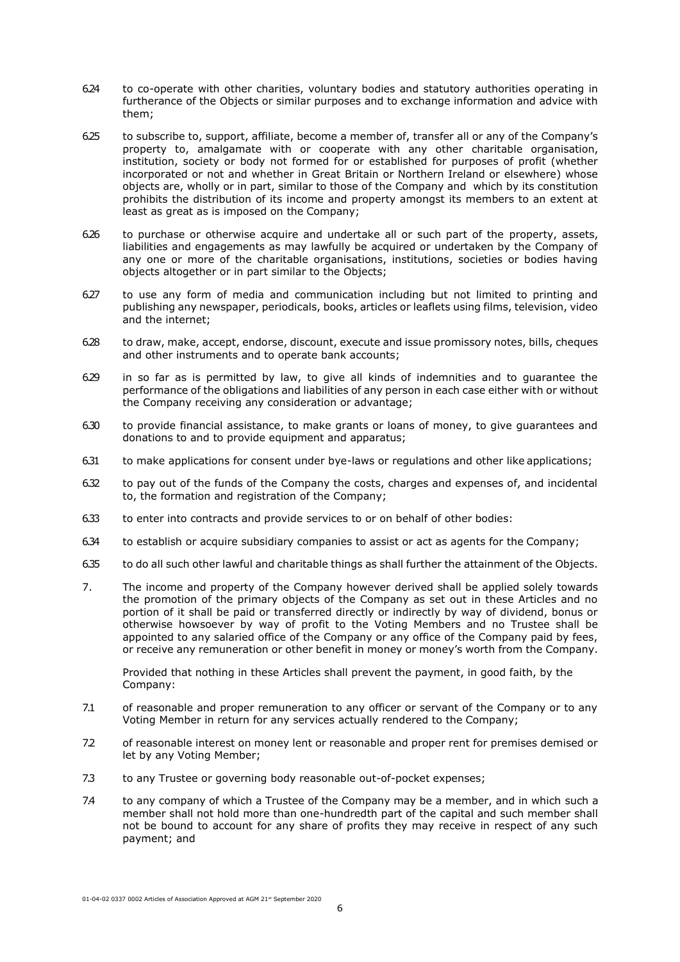- 6.24 to co-operate with other charities, voluntary bodies and statutory authorities operating in furtherance of the Objects or similar purposes and to exchange information and advice with them;
- 6.25 to subscribe to, support, affiliate, become a member of, transfer all or any of the Company's property to, amalgamate with or cooperate with any other charitable organisation, institution, society or body not formed for or established for purposes of profit (whether incorporated or not and whether in Great Britain or Northern Ireland or elsewhere) whose objects are, wholly or in part, similar to those of the Company and which by its constitution prohibits the distribution of its income and property amongst its members to an extent at least as great as is imposed on the Company;
- 6.26 to purchase or otherwise acquire and undertake all or such part of the property, assets, liabilities and engagements as may lawfully be acquired or undertaken by the Company of any one or more of the charitable organisations, institutions, societies or bodies having objects altogether or in part similar to the Objects;
- 6.27 to use any form of media and communication including but not limited to printing and publishing any newspaper, periodicals, books, articles or leaflets using films, television, video and the internet;
- 6.28 to draw, make, accept, endorse, discount, execute and issue promissory notes, bills, cheques and other instruments and to operate bank accounts;
- 6.29 in so far as is permitted by law, to give all kinds of indemnities and to guarantee the performance of the obligations and liabilities of any person in each case either with or without the Company receiving any consideration or advantage;
- 6.30 to provide financial assistance, to make grants or loans of money, to give guarantees and donations to and to provide equipment and apparatus;
- 6.31 to make applications for consent under bye-laws or regulations and other like applications;
- 6.32 to pay out of the funds of the Company the costs, charges and expenses of, and incidental to, the formation and registration of the Company;
- 6.33 to enter into contracts and provide services to or on behalf of other bodies:
- 6.34 to establish or acquire subsidiary companies to assist or act as agents for the Company;
- 6.35 to do all such other lawful and charitable things as shall further the attainment of the Objects.
- 7. The income and property of the Company however derived shall be applied solely towards the promotion of the primary objects of the Company as set out in these Articles and no portion of it shall be paid or transferred directly or indirectly by way of dividend, bonus or otherwise howsoever by way of profit to the Voting Members and no Trustee shall be appointed to any salaried office of the Company or any office of the Company paid by fees, or receive any remuneration or other benefit in money or money's worth from the Company.

Provided that nothing in these Articles shall prevent the payment, in good faith, by the Company:

- 7.1 of reasonable and proper remuneration to any officer or servant of the Company or to any Voting Member in return for any services actually rendered to the Company;
- 7.2 of reasonable interest on money lent or reasonable and proper rent for premises demised or let by any Voting Member;
- 7.3 to any Trustee or governing body reasonable out-of-pocket expenses;
- 7.4 to any company of which a Trustee of the Company may be a member, and in which such a member shall not hold more than one-hundredth part of the capital and such member shall not be bound to account for any share of profits they may receive in respect of any such payment; and

01-04-02 0337 0002 Articles of Association Approved at AGM 21st September 2020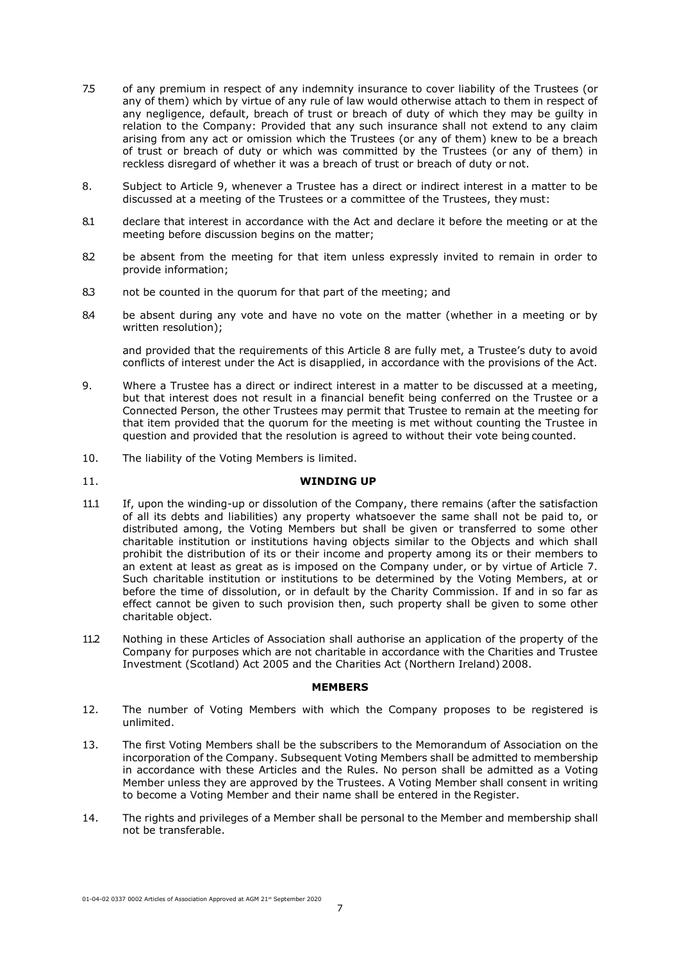- 7.5 of any premium in respect of any indemnity insurance to cover liability of the Trustees (or any of them) which by virtue of any rule of law would otherwise attach to them in respect of any negligence, default, breach of trust or breach of duty of which they may be guilty in relation to the Company: Provided that any such insurance shall not extend to any claim arising from any act or omission which the Trustees (or any of them) knew to be a breach of trust or breach of duty or which was committed by the Trustees (or any of them) in reckless disregard of whether it was a breach of trust or breach of duty or not.
- 8. Subject to Article 9, whenever a Trustee has a direct or indirect interest in a matter to be discussed at a meeting of the Trustees or a committee of the Trustees, they must:
- 8.1 declare that interest in accordance with the Act and declare it before the meeting or at the meeting before discussion begins on the matter;
- 8.2 be absent from the meeting for that item unless expressly invited to remain in order to provide information;
- 8.3 not be counted in the quorum for that part of the meeting; and
- 8.4 be absent during any vote and have no vote on the matter (whether in a meeting or by written resolution);

and provided that the requirements of this Article 8 are fully met, a Trustee's duty to avoid conflicts of interest under the Act is disapplied, in accordance with the provisions of the Act.

- 9. Where a Trustee has a direct or indirect interest in a matter to be discussed at a meeting, but that interest does not result in a financial benefit being conferred on the Trustee or a Connected Person, the other Trustees may permit that Trustee to remain at the meeting for that item provided that the quorum for the meeting is met without counting the Trustee in question and provided that the resolution is agreed to without their vote being counted.
- 10. The liability of the Voting Members is limited.
- 11. **WINDING UP**
- 11.1 If, upon the winding-up or dissolution of the Company, there remains (after the satisfaction of all its debts and liabilities) any property whatsoever the same shall not be paid to, or distributed among, the Voting Members but shall be given or transferred to some other charitable institution or institutions having objects similar to the Objects and which shall prohibit the distribution of its or their income and property among its or their members to an extent at least as great as is imposed on the Company under, or by virtue of Article 7. Such charitable institution or institutions to be determined by the Voting Members, at or before the time of dissolution, or in default by the Charity Commission. If and in so far as effect cannot be given to such provision then, such property shall be given to some other charitable object.
- 11.2 Nothing in these Articles of Association shall authorise an application of the property of the Company for purposes which are not charitable in accordance with the Charities and Trustee Investment (Scotland) Act 2005 and the Charities Act (Northern Ireland) 2008.

#### **MEMBERS**

- 12. The number of Voting Members with which the Company proposes to be registered is unlimited.
- 13. The first Voting Members shall be the subscribers to the Memorandum of Association on the incorporation of the Company. Subsequent Voting Members shall be admitted to membership in accordance with these Articles and the Rules. No person shall be admitted as a Voting Member unless they are approved by the Trustees. A Voting Member shall consent in writing to become a Voting Member and their name shall be entered in the Register.
- 14. The rights and privileges of a Member shall be personal to the Member and membership shall not be transferable.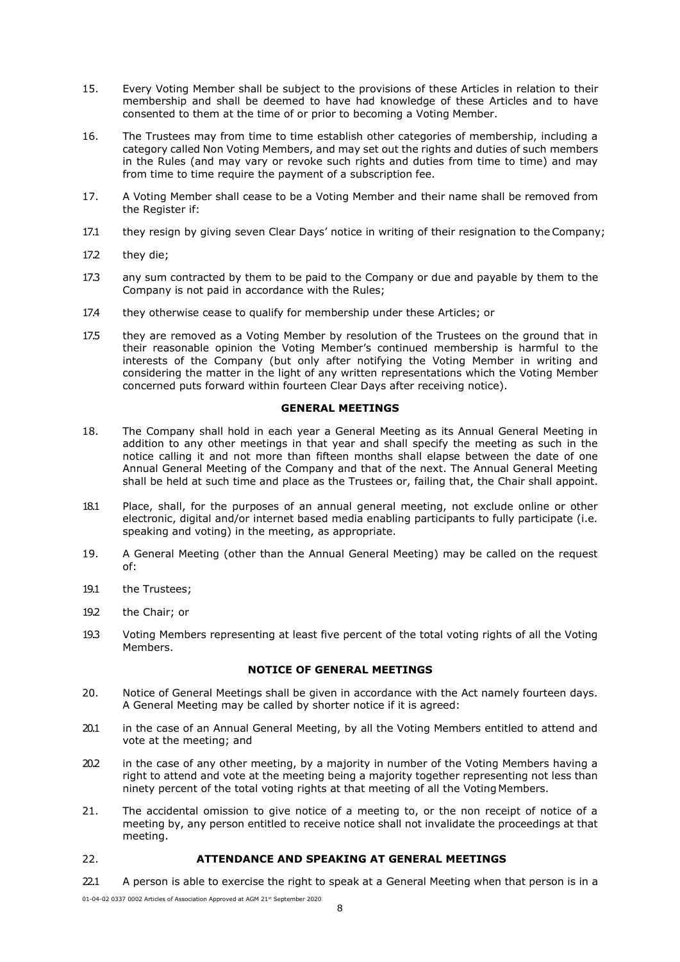- 15. Every Voting Member shall be subject to the provisions of these Articles in relation to their membership and shall be deemed to have had knowledge of these Articles and to have consented to them at the time of or prior to becoming a Voting Member.
- 16. The Trustees may from time to time establish other categories of membership, including a category called Non Voting Members, and may set out the rights and duties of such members in the Rules (and may vary or revoke such rights and duties from time to time) and may from time to time require the payment of a subscription fee.
- 17. A Voting Member shall cease to be a Voting Member and their name shall be removed from the Register if:
- 17.1 they resign by giving seven Clear Days' notice in writing of their resignation to the Company;
- 17.2 they die;
- 17.3 any sum contracted by them to be paid to the Company or due and payable by them to the Company is not paid in accordance with the Rules;
- 17.4 they otherwise cease to qualify for membership under these Articles; or
- 17.5 they are removed as a Voting Member by resolution of the Trustees on the ground that in their reasonable opinion the Voting Member's continued membership is harmful to the interests of the Company (but only after notifying the Voting Member in writing and considering the matter in the light of any written representations which the Voting Member concerned puts forward within fourteen Clear Days after receiving notice).

## **GENERAL MEETINGS**

- 18. The Company shall hold in each year a General Meeting as its Annual General Meeting in addition to any other meetings in that year and shall specify the meeting as such in the notice calling it and not more than fifteen months shall elapse between the date of one Annual General Meeting of the Company and that of the next. The Annual General Meeting shall be held at such time and place as the Trustees or, failing that, the Chair shall appoint.
- 18.1 Place, shall, for the purposes of an annual general meeting, not exclude online or other electronic, digital and/or internet based media enabling participants to fully participate (i.e. speaking and voting) in the meeting, as appropriate.
- 19. A General Meeting (other than the Annual General Meeting) may be called on the request of:
- 19.1 the Trustees;
- 19.2 the Chair; or
- 19.3 Voting Members representing at least five percent of the total voting rights of all the Voting Members.

## **NOTICE OF GENERAL MEETINGS**

- 20. Notice of General Meetings shall be given in accordance with the Act namely fourteen days. A General Meeting may be called by shorter notice if it is agreed:
- 20.1 in the case of an Annual General Meeting, by all the Voting Members entitled to attend and vote at the meeting; and
- 20.2 in the case of any other meeting, by a majority in number of the Voting Members having a right to attend and vote at the meeting being a majority together representing not less than ninety percent of the total voting rights at that meeting of all the Voting Members.
- 21. The accidental omission to give notice of a meeting to, or the non receipt of notice of a meeting by, any person entitled to receive notice shall not invalidate the proceedings at that meeting.

# 22. **ATTENDANCE AND SPEAKING AT GENERAL MEETINGS**

22.1 A person is able to exercise the right to speak at a General Meeting when that person is in a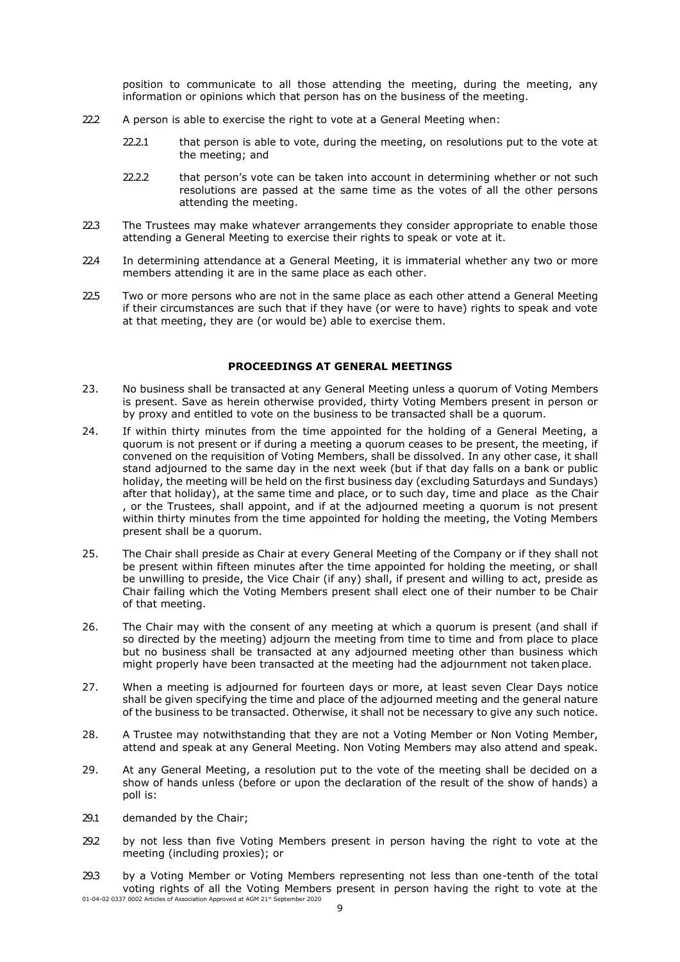position to communicate to all those attending the meeting, during the meeting, any information or opinions which that person has on the business of the meeting.

- 22.2 A person is able to exercise the right to vote at a General Meeting when:
	- 22.2.1 that person is able to vote, during the meeting, on resolutions put to the vote at the meeting; and
	- 22.2.2 that person's vote can be taken into account in determining whether or not such resolutions are passed at the same time as the votes of all the other persons attending the meeting.
- 22.3 The Trustees may make whatever arrangements they consider appropriate to enable those attending a General Meeting to exercise their rights to speak or vote at it.
- 22.4 In determining attendance at a General Meeting, it is immaterial whether any two or more members attending it are in the same place as each other.
- 22.5 Two or more persons who are not in the same place as each other attend a General Meeting if their circumstances are such that if they have (or were to have) rights to speak and vote at that meeting, they are (or would be) able to exercise them.

#### **PROCEEDINGS AT GENERAL MEETINGS**

- 23. No business shall be transacted at any General Meeting unless a quorum of Voting Members is present. Save as herein otherwise provided, thirty Voting Members present in person or by proxy and entitled to vote on the business to be transacted shall be a quorum.
- 24. If within thirty minutes from the time appointed for the holding of a General Meeting, a quorum is not present or if during a meeting a quorum ceases to be present, the meeting, if convened on the requisition of Voting Members, shall be dissolved. In any other case, it shall stand adjourned to the same day in the next week (but if that day falls on a bank or public holiday, the meeting will be held on the first business day (excluding Saturdays and Sundays) after that holiday), at the same time and place, or to such day, time and place as the Chair , or the Trustees, shall appoint, and if at the adjourned meeting a quorum is not present within thirty minutes from the time appointed for holding the meeting, the Voting Members present shall be a quorum.
- 25. The Chair shall preside as Chair at every General Meeting of the Company or if they shall not be present within fifteen minutes after the time appointed for holding the meeting, or shall be unwilling to preside, the Vice Chair (if any) shall, if present and willing to act, preside as Chair failing which the Voting Members present shall elect one of their number to be Chair of that meeting.
- 26. The Chair may with the consent of any meeting at which a quorum is present (and shall if so directed by the meeting) adjourn the meeting from time to time and from place to place but no business shall be transacted at any adjourned meeting other than business which might properly have been transacted at the meeting had the adjournment not takenplace.
- 27. When a meeting is adjourned for fourteen days or more, at least seven Clear Days notice shall be given specifying the time and place of the adjourned meeting and the general nature of the business to be transacted. Otherwise, it shall not be necessary to give any such notice.
- 28. A Trustee may notwithstanding that they are not a Voting Member or Non Voting Member, attend and speak at any General Meeting. Non Voting Members may also attend and speak.
- 29. At any General Meeting, a resolution put to the vote of the meeting shall be decided on a show of hands unless (before or upon the declaration of the result of the show of hands) a poll is:
- 29.1 demanded by the Chair;
- 29.2 by not less than five Voting Members present in person having the right to vote at the meeting (including proxies); or
- 01-04-02 0337 0002 Articles of Association Approved at AGM 21st September 2020 29.3 by a Voting Member or Voting Members representing not less than one-tenth of the total voting rights of all the Voting Members present in person having the right to vote at the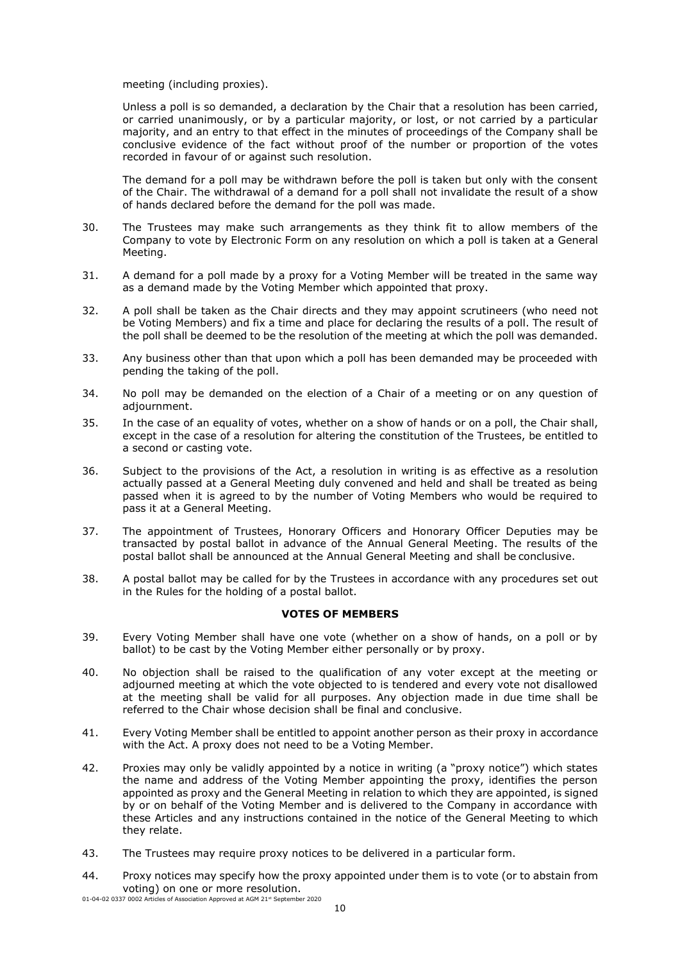meeting (including proxies).

Unless a poll is so demanded, a declaration by the Chair that a resolution has been carried, or carried unanimously, or by a particular majority, or lost, or not carried by a particular majority, and an entry to that effect in the minutes of proceedings of the Company shall be conclusive evidence of the fact without proof of the number or proportion of the votes recorded in favour of or against such resolution.

The demand for a poll may be withdrawn before the poll is taken but only with the consent of the Chair. The withdrawal of a demand for a poll shall not invalidate the result of a show of hands declared before the demand for the poll was made.

- 30. The Trustees may make such arrangements as they think fit to allow members of the Company to vote by Electronic Form on any resolution on which a poll is taken at a General Meeting.
- 31. A demand for a poll made by a proxy for a Voting Member will be treated in the same way as a demand made by the Voting Member which appointed that proxy.
- 32. A poll shall be taken as the Chair directs and they may appoint scrutineers (who need not be Voting Members) and fix a time and place for declaring the results of a poll. The result of the poll shall be deemed to be the resolution of the meeting at which the poll was demanded.
- 33. Any business other than that upon which a poll has been demanded may be proceeded with pending the taking of the poll.
- 34. No poll may be demanded on the election of a Chair of a meeting or on any question of adjournment.
- 35. In the case of an equality of votes, whether on a show of hands or on a poll, the Chair shall, except in the case of a resolution for altering the constitution of the Trustees, be entitled to a second or casting vote.
- 36. Subject to the provisions of the Act, a resolution in writing is as effective as a resolution actually passed at a General Meeting duly convened and held and shall be treated as being passed when it is agreed to by the number of Voting Members who would be required to pass it at a General Meeting.
- 37. The appointment of Trustees, Honorary Officers and Honorary Officer Deputies may be transacted by postal ballot in advance of the Annual General Meeting. The results of the postal ballot shall be announced at the Annual General Meeting and shall be conclusive.
- 38. A postal ballot may be called for by the Trustees in accordance with any procedures set out in the Rules for the holding of a postal ballot.

## **VOTES OF MEMBERS**

- 39. Every Voting Member shall have one vote (whether on a show of hands, on a poll or by ballot) to be cast by the Voting Member either personally or by proxy.
- 40. No objection shall be raised to the qualification of any voter except at the meeting or adjourned meeting at which the vote objected to is tendered and every vote not disallowed at the meeting shall be valid for all purposes. Any objection made in due time shall be referred to the Chair whose decision shall be final and conclusive.
- 41. Every Voting Member shall be entitled to appoint another person as their proxy in accordance with the Act. A proxy does not need to be a Voting Member.
- 42. Proxies may only be validly appointed by a notice in writing (a "proxy notice") which states the name and address of the Voting Member appointing the proxy, identifies the person appointed as proxy and the General Meeting in relation to which they are appointed, is signed by or on behalf of the Voting Member and is delivered to the Company in accordance with these Articles and any instructions contained in the notice of the General Meeting to which they relate.
- 43. The Trustees may require proxy notices to be delivered in a particular form.
- 01-04-02 0337 0002 Articles of Association Approved at AGM 21st September 2020 44. Proxy notices may specify how the proxy appointed under them is to vote (or to abstain from voting) on one or more resolution.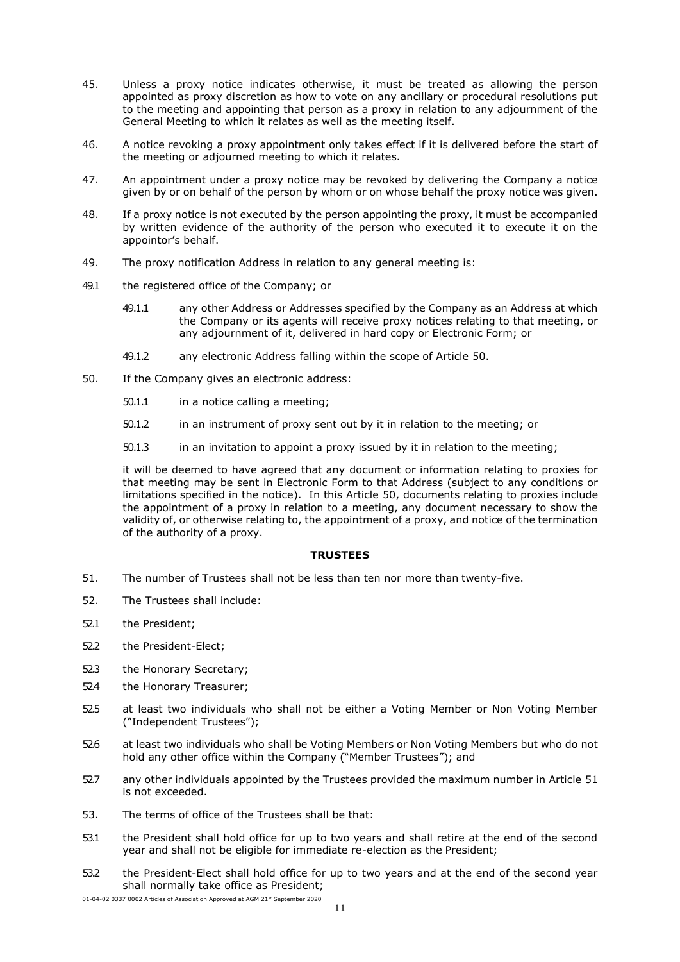- 45. Unless a proxy notice indicates otherwise, it must be treated as allowing the person appointed as proxy discretion as how to vote on any ancillary or procedural resolutions put to the meeting and appointing that person as a proxy in relation to any adjournment of the General Meeting to which it relates as well as the meeting itself.
- 46. A notice revoking a proxy appointment only takes effect if it is delivered before the start of the meeting or adjourned meeting to which it relates.
- 47. An appointment under a proxy notice may be revoked by delivering the Company a notice given by or on behalf of the person by whom or on whose behalf the proxy notice was given.
- 48. If a proxy notice is not executed by the person appointing the proxy, it must be accompanied by written evidence of the authority of the person who executed it to execute it on the appointor's behalf.
- 49. The proxy notification Address in relation to any general meeting is:
- 49.1 the registered office of the Company; or
	- 49.1.1 any other Address or Addresses specified by the Company as an Address at which the Company or its agents will receive proxy notices relating to that meeting, or any adjournment of it, delivered in hard copy or Electronic Form; or
	- 49.1.2 any electronic Address falling within the scope of Article [50.](#page-10-0)
- <span id="page-10-0"></span>50. If the Company gives an electronic address:
	- 50.1.1 in a notice calling a meeting;
	- 50.1.2 in an instrument of proxy sent out by it in relation to the meeting; or
	- 50.1.3 in an invitation to appoint a proxy issued by it in relation to the meeting;

it will be deemed to have agreed that any document or information relating to proxies for that meeting may be sent in Electronic Form to that Address (subject to any conditions or limitations specified in the notice). In this Article [50,](#page-10-0) documents relating to proxies include the appointment of a proxy in relation to a meeting, any document necessary to show the validity of, or otherwise relating to, the appointment of a proxy, and notice of the termination of the authority of a proxy.

#### **TRUSTEES**

- 51. The number of Trustees shall not be less than ten nor more than twenty-five.
- 52. The Trustees shall include:
- 52.1 the President;
- 52.2 the President-Elect;
- 52.3 the Honorary Secretary;
- 52.4 the Honorary Treasurer;
- 52.5 at least two individuals who shall not be either a Voting Member or Non Voting Member ("Independent Trustees");
- 52.6 at least two individuals who shall be Voting Members or Non Voting Members but who do not hold any other office within the Company ("Member Trustees"); and
- 52.7 any other individuals appointed by the Trustees provided the maximum number in Article 51 is not exceeded.
- 53. The terms of office of the Trustees shall be that:
- 53.1 the President shall hold office for up to two years and shall retire at the end of the second year and shall not be eligible for immediate re-election as the President;
- 53.2 the President-Elect shall hold office for up to two years and at the end of the second year shall normally take office as President;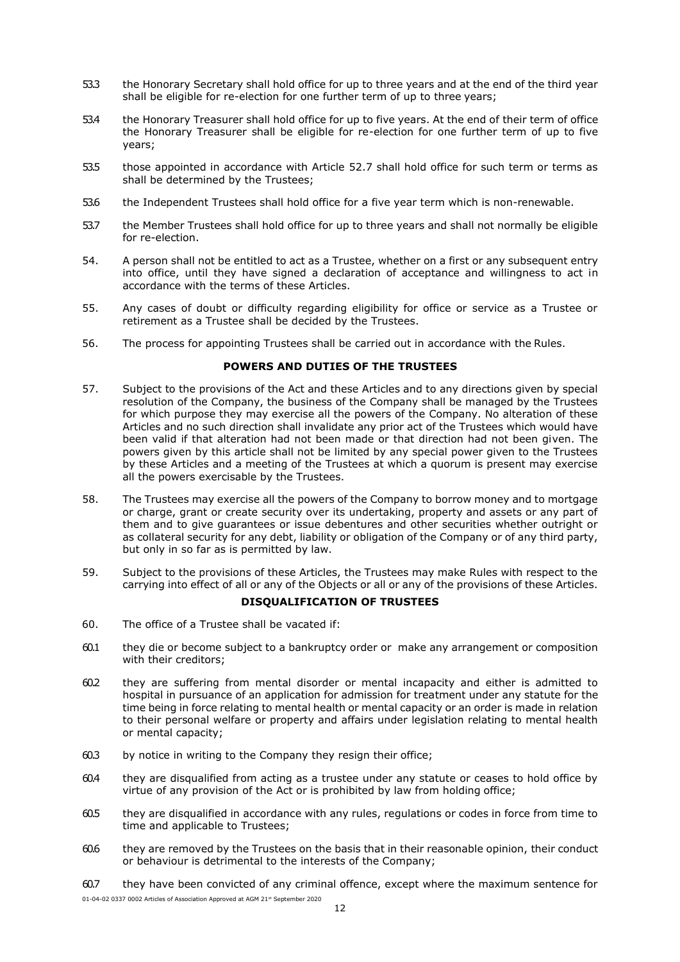- 53.3 the Honorary Secretary shall hold office for up to three years and at the end of the third year shall be eligible for re-election for one further term of up to three years;
- 53.4 the Honorary Treasurer shall hold office for up to five years. At the end of their term of office the Honorary Treasurer shall be eligible for re-election for one further term of up to five years;
- 53.5 those appointed in accordance with Article 52.7 shall hold office for such term or terms as shall be determined by the Trustees;
- 53.6 the Independent Trustees shall hold office for a five year term which is non-renewable.
- 53.7 the Member Trustees shall hold office for up to three years and shall not normally be eligible for re-election.
- 54. A person shall not be entitled to act as a Trustee, whether on a first or any subsequent entry into office, until they have signed a declaration of acceptance and willingness to act in accordance with the terms of these Articles.
- 55. Any cases of doubt or difficulty regarding eligibility for office or service as a Trustee or retirement as a Trustee shall be decided by the Trustees.
- 56. The process for appointing Trustees shall be carried out in accordance with the Rules.

## **POWERS AND DUTIES OF THE TRUSTEES**

- 57. Subject to the provisions of the Act and these Articles and to any directions given by special resolution of the Company, the business of the Company shall be managed by the Trustees for which purpose they may exercise all the powers of the Company. No alteration of these Articles and no such direction shall invalidate any prior act of the Trustees which would have been valid if that alteration had not been made or that direction had not been given. The powers given by this article shall not be limited by any special power given to the Trustees by these Articles and a meeting of the Trustees at which a quorum is present may exercise all the powers exercisable by the Trustees.
- 58. The Trustees may exercise all the powers of the Company to borrow money and to mortgage or charge, grant or create security over its undertaking, property and assets or any part of them and to give guarantees or issue debentures and other securities whether outright or as collateral security for any debt, liability or obligation of the Company or of any third party, but only in so far as is permitted by law.
- 59. Subject to the provisions of these Articles, the Trustees may make Rules with respect to the carrying into effect of all or any of the Objects or all or any of the provisions of these Articles.

# **DISQUALIFICATION OF TRUSTEES**

- 60. The office of a Trustee shall be vacated if:
- 60.1 they die or become subject to a bankruptcy order or make any arrangement or composition with their creditors;
- 60.2 they are suffering from mental disorder or mental incapacity and either is admitted to hospital in pursuance of an application for admission for treatment under any statute for the time being in force relating to mental health or mental capacity or an order is made in relation to their personal welfare or property and affairs under legislation relating to mental health or mental capacity;
- 60.3 by notice in writing to the Company they resign their office;
- 60.4 they are disqualified from acting as a trustee under any statute or ceases to hold office by virtue of any provision of the Act or is prohibited by law from holding office;
- 60.5 they are disqualified in accordance with any rules, regulations or codes in force from time to time and applicable to Trustees;
- 60.6 they are removed by the Trustees on the basis that in their reasonable opinion, their conduct or behaviour is detrimental to the interests of the Company;
- 01-04-02 0337 0002 Articles of Association Approved at AGM 21st September 2020 60.7 they have been convicted of any criminal offence, except where the maximum sentence for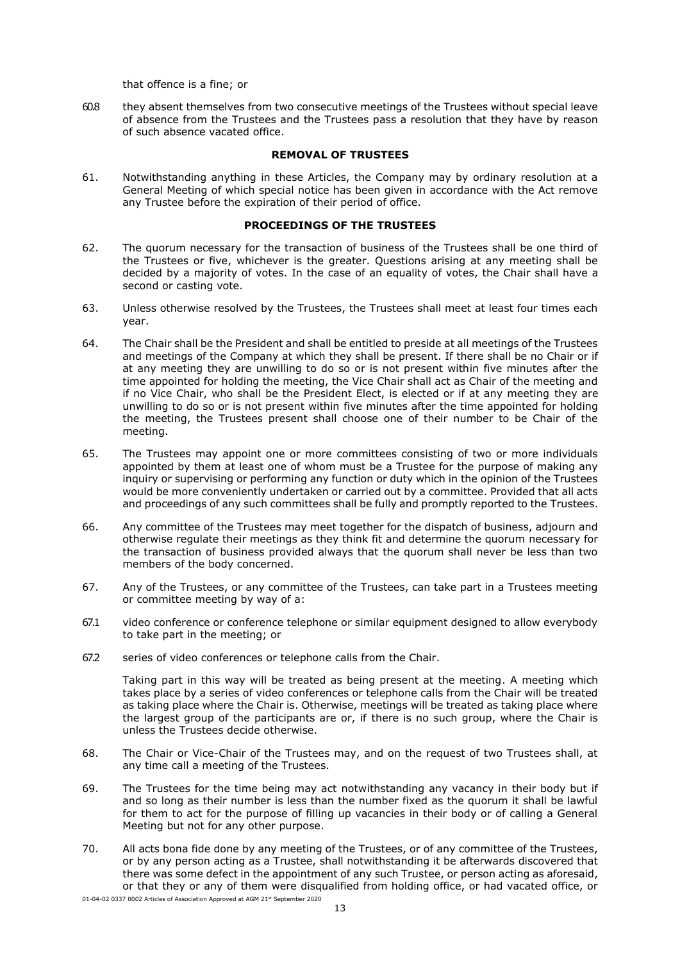that offence is a fine; or

60.8 they absent themselves from two consecutive meetings of the Trustees without special leave of absence from the Trustees and the Trustees pass a resolution that they have by reason of such absence vacated office.

#### **REMOVAL OF TRUSTEES**

61. Notwithstanding anything in these Articles, the Company may by ordinary resolution at a General Meeting of which special notice has been given in accordance with the Act remove any Trustee before the expiration of their period of office.

#### **PROCEEDINGS OF THE TRUSTEES**

- 62. The quorum necessary for the transaction of business of the Trustees shall be one third of the Trustees or five, whichever is the greater. Questions arising at any meeting shall be decided by a majority of votes. In the case of an equality of votes, the Chair shall have a second or casting vote.
- 63. Unless otherwise resolved by the Trustees, the Trustees shall meet at least four times each year.
- 64. The Chair shall be the President and shall be entitled to preside at all meetings of the Trustees and meetings of the Company at which they shall be present. If there shall be no Chair or if at any meeting they are unwilling to do so or is not present within five minutes after the time appointed for holding the meeting, the Vice Chair shall act as Chair of the meeting and if no Vice Chair, who shall be the President Elect, is elected or if at any meeting they are unwilling to do so or is not present within five minutes after the time appointed for holding the meeting, the Trustees present shall choose one of their number to be Chair of the meeting.
- 65. The Trustees may appoint one or more committees consisting of two or more individuals appointed by them at least one of whom must be a Trustee for the purpose of making any inquiry or supervising or performing any function or duty which in the opinion of the Trustees would be more conveniently undertaken or carried out by a committee. Provided that all acts and proceedings of any such committees shall be fully and promptly reported to the Trustees.
- 66. Any committee of the Trustees may meet together for the dispatch of business, adjourn and otherwise regulate their meetings as they think fit and determine the quorum necessary for the transaction of business provided always that the quorum shall never be less than two members of the body concerned.
- 67. Any of the Trustees, or any committee of the Trustees, can take part in a Trustees meeting or committee meeting by way of a:
- 67.1 video conference or conference telephone or similar equipment designed to allow everybody to take part in the meeting; or
- 67.2 series of video conferences or telephone calls from the Chair.

Taking part in this way will be treated as being present at the meeting. A meeting which takes place by a series of video conferences or telephone calls from the Chair will be treated as taking place where the Chair is. Otherwise, meetings will be treated as taking place where the largest group of the participants are or, if there is no such group, where the Chair is unless the Trustees decide otherwise.

- 68. The Chair or Vice-Chair of the Trustees may, and on the request of two Trustees shall, at any time call a meeting of the Trustees.
- 69. The Trustees for the time being may act notwithstanding any vacancy in their body but if and so long as their number is less than the number fixed as the quorum it shall be lawful for them to act for the purpose of filling up vacancies in their body or of calling a General Meeting but not for any other purpose.
- 70. All acts bona fide done by any meeting of the Trustees, or of any committee of the Trustees, or by any person acting as a Trustee, shall notwithstanding it be afterwards discovered that there was some defect in the appointment of any such Trustee, or person acting as aforesaid, or that they or any of them were disqualified from holding office, or had vacated office, or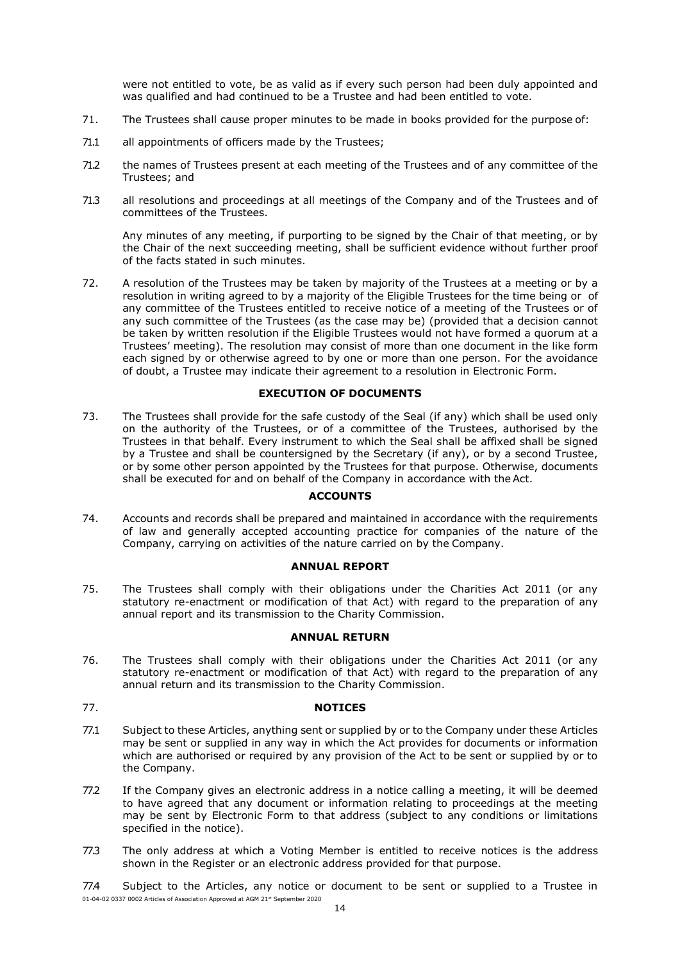were not entitled to vote, be as valid as if every such person had been duly appointed and was qualified and had continued to be a Trustee and had been entitled to vote.

- 71. The Trustees shall cause proper minutes to be made in books provided for the purpose of:
- 71.1 all appointments of officers made by the Trustees;
- 71.2 the names of Trustees present at each meeting of the Trustees and of any committee of the Trustees; and
- 71.3 all resolutions and proceedings at all meetings of the Company and of the Trustees and of committees of the Trustees.

Any minutes of any meeting, if purporting to be signed by the Chair of that meeting, or by the Chair of the next succeeding meeting, shall be sufficient evidence without further proof of the facts stated in such minutes.

72. A resolution of the Trustees may be taken by majority of the Trustees at a meeting or by a resolution in writing agreed to by a majority of the Eligible Trustees for the time being or of any committee of the Trustees entitled to receive notice of a meeting of the Trustees or of any such committee of the Trustees (as the case may be) (provided that a decision cannot be taken by written resolution if the Eligible Trustees would not have formed a quorum at a Trustees' meeting). The resolution may consist of more than one document in the like form each signed by or otherwise agreed to by one or more than one person. For the avoidance of doubt, a Trustee may indicate their agreement to a resolution in Electronic Form.

# **EXECUTION OF DOCUMENTS**

73. The Trustees shall provide for the safe custody of the Seal (if any) which shall be used only on the authority of the Trustees, or of a committee of the Trustees, authorised by the Trustees in that behalf. Every instrument to which the Seal shall be affixed shall be signed by a Trustee and shall be countersigned by the Secretary (if any), or by a second Trustee, or by some other person appointed by the Trustees for that purpose. Otherwise, documents shall be executed for and on behalf of the Company in accordance with the Act.

# **ACCOUNTS**

74. Accounts and records shall be prepared and maintained in accordance with the requirements of law and generally accepted accounting practice for companies of the nature of the Company, carrying on activities of the nature carried on by the Company.

## **ANNUAL REPORT**

75. The Trustees shall comply with their obligations under the Charities Act 2011 (or any statutory re-enactment or modification of that Act) with regard to the preparation of any annual report and its transmission to the Charity Commission.

# **ANNUAL RETURN**

76. The Trustees shall comply with their obligations under the Charities Act 2011 (or any statutory re-enactment or modification of that Act) with regard to the preparation of any annual return and its transmission to the Charity Commission.

## 77. **NOTICES**

- 77.1 Subject to these Articles, anything sent or supplied by or to the Company under these Articles may be sent or supplied in any way in which the Act provides for documents or information which are authorised or required by any provision of the Act to be sent or supplied by or to the Company.
- 77.2 If the Company gives an electronic address in a notice calling a meeting, it will be deemed to have agreed that any document or information relating to proceedings at the meeting may be sent by Electronic Form to that address (subject to any conditions or limitations specified in the notice).
- 77.3 The only address at which a Voting Member is entitled to receive notices is the address shown in the Register or an electronic address provided for that purpose.

01-04-02 0337 0002 Articles of Association Approved at AGM 21st September 2020 77.4 Subject to the Articles, any notice or document to be sent or supplied to a Trustee in